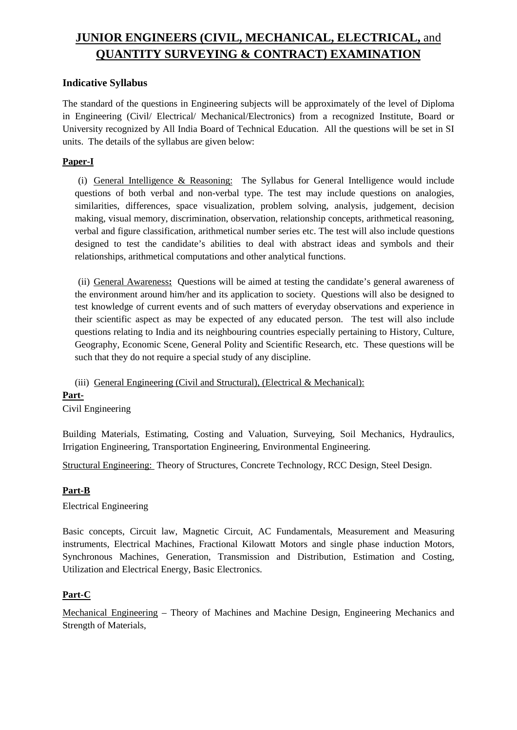# **JUNIOR ENGINEERS (CIVIL, MECHANICAL, ELECTRICAL,** and **QUANTITY SURVEYING & CONTRACT) EXAMINATION**

# **Indicative Syllabus**

The standard of the questions in Engineering subjects will be approximately of the level of Diploma in Engineering (Civil/ Electrical/ Mechanical/Electronics) from a recognized Institute, Board or University recognized by All India Board of Technical Education. All the questions will be set in SI units. The details of the syllabus are given below:

# **Paper-I**

(i) General Intelligence & Reasoning: The Syllabus for General Intelligence would include questions of both verbal and non-verbal type. The test may include questions on analogies, similarities, differences, space visualization, problem solving, analysis, judgement, decision making, visual memory, discrimination, observation, relationship concepts, arithmetical reasoning, verbal and figure classification, arithmetical number series etc. The test will also include questions designed to test the candidate's abilities to deal with abstract ideas and symbols and their relationships, arithmetical computations and other analytical functions.

(ii) General Awareness**:** Questions will be aimed at testing the candidate's general awareness of the environment around him/her and its application to society. Questions will also be designed to test knowledge of current events and of such matters of everyday observations and experience in their scientific aspect as may be expected of any educated person. The test will also include questions relating to India and its neighbouring countries especially pertaining to History, Culture, Geography, Economic Scene, General Polity and Scientific Research, etc. These questions will be such that they do not require a special study of any discipline.

(iii) General Engineering (Civil and Structural), (Electrical & Mechanical):

# **Part-**

Civil Engineering

Building Materials, Estimating, Costing and Valuation, Surveying, Soil Mechanics, Hydraulics, Irrigation Engineering, Transportation Engineering, Environmental Engineering.

Structural Engineering: Theory of Structures, Concrete Technology, RCC Design, Steel Design.

# **Part-B**

Electrical Engineering

Basic concepts, Circuit law, Magnetic Circuit, AC Fundamentals, Measurement and Measuring instruments, Electrical Machines, Fractional Kilowatt Motors and single phase induction Motors, Synchronous Machines, Generation, Transmission and Distribution, Estimation and Costing, Utilization and Electrical Energy, Basic Electronics.

# **Part-C**

Mechanical Engineering – Theory of Machines and Machine Design, Engineering Mechanics and Strength of Materials,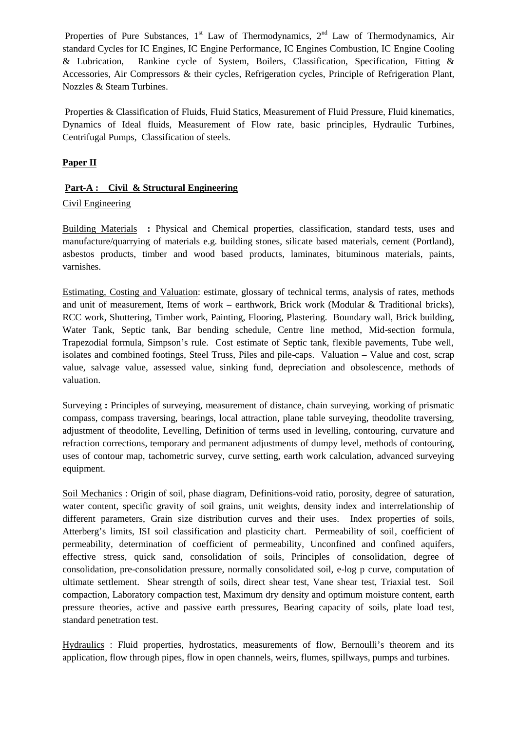Properties of Pure Substances,  $1<sup>st</sup>$  Law of Thermodynamics,  $2<sup>nd</sup>$  Law of Thermodynamics, Air standard Cycles for IC Engines, IC Engine Performance, IC Engines Combustion, IC Engine Cooling & Lubrication, Rankine cycle of System, Boilers, Classification, Specification, Fitting & Accessories, Air Compressors & their cycles, Refrigeration cycles, Principle of Refrigeration Plant, Nozzles & Steam Turbines.

Properties & Classification of Fluids, Fluid Statics, Measurement of Fluid Pressure, Fluid kinematics, Dynamics of Ideal fluids, Measurement of Flow rate, basic principles, Hydraulic Turbines, Centrifugal Pumps, Classification of steels.

#### **Paper II**

#### **Part-A : Civil & Structural Engineering**

#### Civil Engineering

Building Materials **:** Physical and Chemical properties, classification, standard tests, uses and manufacture/quarrying of materials e.g. building stones, silicate based materials, cement (Portland), asbestos products, timber and wood based products, laminates, bituminous materials, paints, varnishes.

Estimating, Costing and Valuation: estimate, glossary of technical terms, analysis of rates, methods and unit of measurement, Items of work – earthwork, Brick work (Modular & Traditional bricks), RCC work, Shuttering, Timber work, Painting, Flooring, Plastering. Boundary wall, Brick building, Water Tank, Septic tank, Bar bending schedule, Centre line method, Mid-section formula, Trapezodial formula, Simpson's rule. Cost estimate of Septic tank, flexible pavements, Tube well, isolates and combined footings, Steel Truss, Piles and pile-caps. Valuation – Value and cost, scrap value, salvage value, assessed value, sinking fund, depreciation and obsolescence, methods of valuation.

Surveying **:** Principles of surveying, measurement of distance, chain surveying, working of prismatic compass, compass traversing, bearings, local attraction, plane table surveying, theodolite traversing, adjustment of theodolite, Levelling, Definition of terms used in levelling, contouring, curvature and refraction corrections, temporary and permanent adjustments of dumpy level, methods of contouring, uses of contour map, tachometric survey, curve setting, earth work calculation, advanced surveying equipment.

Soil Mechanics : Origin of soil, phase diagram, Definitions-void ratio, porosity, degree of saturation, water content, specific gravity of soil grains, unit weights, density index and interrelationship of different parameters, Grain size distribution curves and their uses. Index properties of soils, Atterberg's limits, ISI soil classification and plasticity chart. Permeability of soil, coefficient of permeability, determination of coefficient of permeability, Unconfined and confined aquifers, effective stress, quick sand, consolidation of soils, Principles of consolidation, degree of consolidation, pre-consolidation pressure, normally consolidated soil, e-log p curve, computation of ultimate settlement. Shear strength of soils, direct shear test, Vane shear test, Triaxial test. Soil compaction, Laboratory compaction test, Maximum dry density and optimum moisture content, earth pressure theories, active and passive earth pressures, Bearing capacity of soils, plate load test, standard penetration test.

Hydraulics : Fluid properties, hydrostatics, measurements of flow, Bernoulli's theorem and its application, flow through pipes, flow in open channels, weirs, flumes, spillways, pumps and turbines.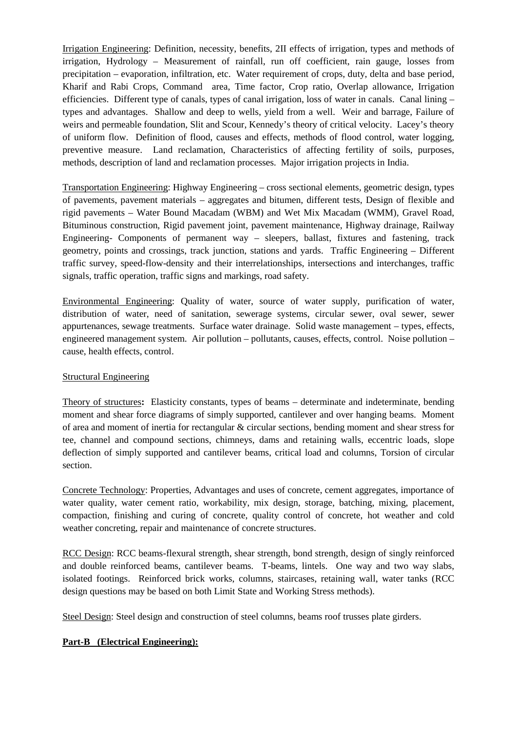Irrigation Engineering: Definition, necessity, benefits, 2II effects of irrigation, types and methods of irrigation, Hydrology – Measurement of rainfall, run off coefficient, rain gauge, losses from precipitation – evaporation, infiltration, etc. Water requirement of crops, duty, delta and base period, Kharif and Rabi Crops, Command area, Time factor, Crop ratio, Overlap allowance, Irrigation efficiencies. Different type of canals, types of canal irrigation, loss of water in canals. Canal lining – types and advantages. Shallow and deep to wells, yield from a well. Weir and barrage, Failure of weirs and permeable foundation, Slit and Scour, Kennedy's theory of critical velocity. Lacey's theory of uniform flow. Definition of flood, causes and effects, methods of flood control, water logging, preventive measure. Land reclamation, Characteristics of affecting fertility of soils, purposes, methods, description of land and reclamation processes. Major irrigation projects in India.

Transportation Engineering: Highway Engineering – cross sectional elements, geometric design, types of pavements, pavement materials – aggregates and bitumen, different tests, Design of flexible and rigid pavements – Water Bound Macadam (WBM) and Wet Mix Macadam (WMM), Gravel Road, Bituminous construction, Rigid pavement joint, pavement maintenance, Highway drainage, Railway Engineering- Components of permanent way – sleepers, ballast, fixtures and fastening, track geometry, points and crossings, track junction, stations and yards. Traffic Engineering – Different traffic survey, speed-flow-density and their interrelationships, intersections and interchanges, traffic signals, traffic operation, traffic signs and markings, road safety.

Environmental Engineering: Quality of water, source of water supply, purification of water, distribution of water, need of sanitation, sewerage systems, circular sewer, oval sewer, sewer appurtenances, sewage treatments. Surface water drainage. Solid waste management – types, effects, engineered management system. Air pollution – pollutants, causes, effects, control. Noise pollution – cause, health effects, control.

# Structural Engineering

Theory of structures**:** Elasticity constants, types of beams – determinate and indeterminate, bending moment and shear force diagrams of simply supported, cantilever and over hanging beams. Moment of area and moment of inertia for rectangular & circular sections, bending moment and shear stress for tee, channel and compound sections, chimneys, dams and retaining walls, eccentric loads, slope deflection of simply supported and cantilever beams, critical load and columns, Torsion of circular section.

Concrete Technology: Properties, Advantages and uses of concrete, cement aggregates, importance of water quality, water cement ratio, workability, mix design, storage, batching, mixing, placement, compaction, finishing and curing of concrete, quality control of concrete, hot weather and cold weather concreting, repair and maintenance of concrete structures.

RCC Design: RCC beams-flexural strength, shear strength, bond strength, design of singly reinforced and double reinforced beams, cantilever beams. T-beams, lintels. One way and two way slabs, isolated footings. Reinforced brick works, columns, staircases, retaining wall, water tanks (RCC design questions may be based on both Limit State and Working Stress methods).

Steel Design: Steel design and construction of steel columns, beams roof trusses plate girders.

# **Part-B (Electrical Engineering):**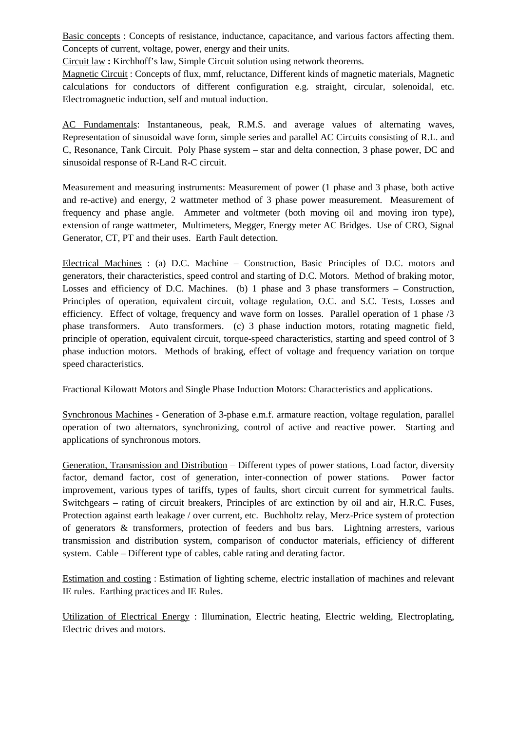Basic concepts : Concepts of resistance, inductance, capacitance, and various factors affecting them. Concepts of current, voltage, power, energy and their units.

Circuit law **:** Kirchhoff's law, Simple Circuit solution using network theorems.

Magnetic Circuit : Concepts of flux, mmf, reluctance, Different kinds of magnetic materials, Magnetic calculations for conductors of different configuration e.g. straight, circular, solenoidal, etc. Electromagnetic induction, self and mutual induction.

AC Fundamentals: Instantaneous, peak, R.M.S. and average values of alternating waves, Representation of sinusoidal wave form, simple series and parallel AC Circuits consisting of R.L. and C, Resonance, Tank Circuit. Poly Phase system – star and delta connection, 3 phase power, DC and sinusoidal response of R-Land R-C circuit.

Measurement and measuring instruments: Measurement of power (1 phase and 3 phase, both active and re-active) and energy, 2 wattmeter method of 3 phase power measurement. Measurement of frequency and phase angle. Ammeter and voltmeter (both moving oil and moving iron type), extension of range wattmeter, Multimeters, Megger, Energy meter AC Bridges. Use of CRO, Signal Generator, CT, PT and their uses. Earth Fault detection.

Electrical Machines : (a) D.C. Machine – Construction, Basic Principles of D.C. motors and generators, their characteristics, speed control and starting of D.C. Motors. Method of braking motor, Losses and efficiency of D.C. Machines. (b) 1 phase and 3 phase transformers – Construction, Principles of operation, equivalent circuit, voltage regulation, O.C. and S.C. Tests, Losses and efficiency. Effect of voltage, frequency and wave form on losses. Parallel operation of 1 phase /3 phase transformers. Auto transformers. (c) 3 phase induction motors, rotating magnetic field, principle of operation, equivalent circuit, torque-speed characteristics, starting and speed control of 3 phase induction motors. Methods of braking, effect of voltage and frequency variation on torque speed characteristics.

Fractional Kilowatt Motors and Single Phase Induction Motors: Characteristics and applications.

Synchronous Machines - Generation of 3-phase e.m.f. armature reaction, voltage regulation, parallel operation of two alternators, synchronizing, control of active and reactive power. Starting and applications of synchronous motors.

Generation, Transmission and Distribution – Different types of power stations, Load factor, diversity factor, demand factor, cost of generation, inter-connection of power stations. Power factor improvement, various types of tariffs, types of faults, short circuit current for symmetrical faults. Switchgears – rating of circuit breakers, Principles of arc extinction by oil and air, H.R.C. Fuses, Protection against earth leakage / over current, etc. Buchholtz relay, Merz-Price system of protection of generators & transformers, protection of feeders and bus bars. Lightning arresters, various transmission and distribution system, comparison of conductor materials, efficiency of different system. Cable – Different type of cables, cable rating and derating factor.

Estimation and costing : Estimation of lighting scheme, electric installation of machines and relevant IE rules. Earthing practices and IE Rules.

Utilization of Electrical Energy : Illumination, Electric heating, Electric welding, Electroplating, Electric drives and motors.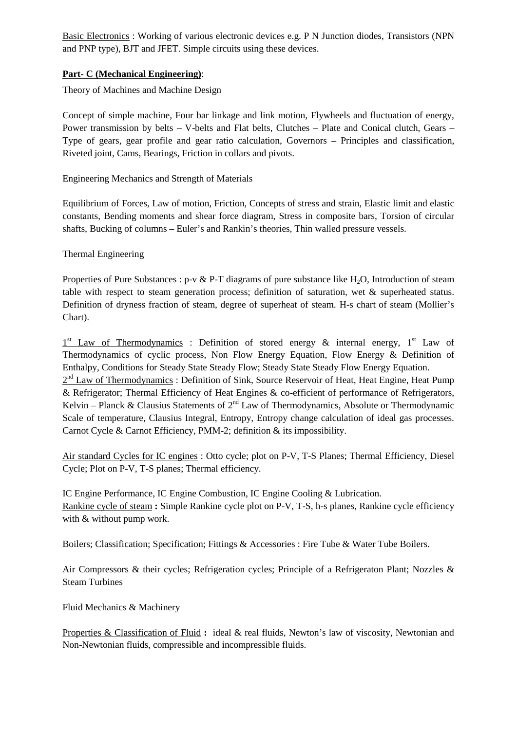Basic Electronics : Working of various electronic devices e.g. P N Junction diodes, Transistors (NPN and PNP type), BJT and JFET. Simple circuits using these devices.

# **Part- C (Mechanical Engineering)**:

Theory of Machines and Machine Design

Concept of simple machine, Four bar linkage and link motion, Flywheels and fluctuation of energy, Power transmission by belts – V-belts and Flat belts, Clutches – Plate and Conical clutch, Gears – Type of gears, gear profile and gear ratio calculation, Governors – Principles and classification, Riveted joint, Cams, Bearings, Friction in collars and pivots.

Engineering Mechanics and Strength of Materials

Equilibrium of Forces, Law of motion, Friction, Concepts of stress and strain, Elastic limit and elastic constants, Bending moments and shear force diagram, Stress in composite bars, Torsion of circular shafts, Bucking of columns – Euler's and Rankin's theories, Thin walled pressure vessels.

Thermal Engineering

Properties of Pure Substances : p-v & P-T diagrams of pure substance like  $H_2O$ , Introduction of steam table with respect to steam generation process; definition of saturation, wet & superheated status. Definition of dryness fraction of steam, degree of superheat of steam. H-s chart of steam (Mollier's Chart).

1<sup>st</sup> Law of Thermodynamics : Definition of stored energy & internal energy, 1<sup>st</sup> Law of Thermodynamics of cyclic process, Non Flow Energy Equation, Flow Energy & Definition of Enthalpy, Conditions for Steady State Steady Flow; Steady State Steady Flow Energy Equation. 2<sup>nd</sup> Law of Thermodynamics: Definition of Sink, Source Reservoir of Heat, Heat Engine, Heat Pump & Refrigerator; Thermal Efficiency of Heat Engines & co-efficient of performance of Refrigerators, Kelvin – Planck & Clausius Statements of  $2<sup>nd</sup>$  Law of Thermodynamics, Absolute or Thermodynamic Scale of temperature, Clausius Integral, Entropy, Entropy change calculation of ideal gas processes. Carnot Cycle & Carnot Efficiency, PMM-2; definition & its impossibility.

Air standard Cycles for IC engines : Otto cycle; plot on P-V, T-S Planes; Thermal Efficiency, Diesel Cycle; Plot on P-V, T-S planes; Thermal efficiency.

IC Engine Performance, IC Engine Combustion, IC Engine Cooling & Lubrication. Rankine cycle of steam **:** Simple Rankine cycle plot on P-V, T-S, h-s planes, Rankine cycle efficiency with & without pump work.

Boilers; Classification; Specification; Fittings & Accessories : Fire Tube & Water Tube Boilers.

Air Compressors & their cycles; Refrigeration cycles; Principle of a Refrigeraton Plant; Nozzles & Steam Turbines

Fluid Mechanics & Machinery

Properties & Classification of Fluid **:** ideal & real fluids, Newton's law of viscosity, Newtonian and Non-Newtonian fluids, compressible and incompressible fluids.